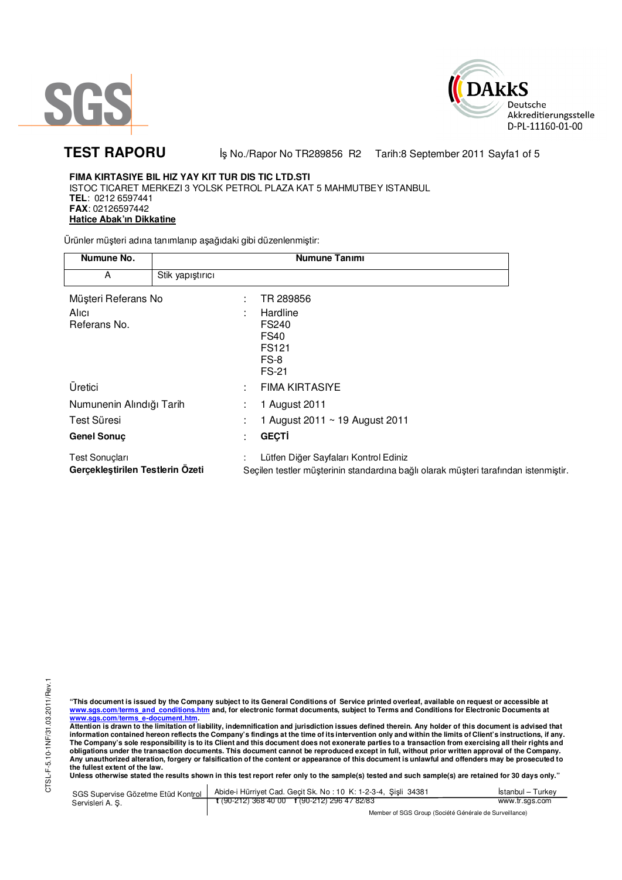



**TEST RAPORU** iş No./Rapor No TR289856 R2 Tarih:8 September 2011 Sayfa1 of 5

### **FIMA KIRTASIYE BIL HIZ YAY KIT TUR DIS TIC LTD.STI**  ISTOC TICARET MERKEZI 3 YOLSK PETROL PLAZA KAT 5 MAHMUTBEY ISTANBUL **TEL**: 0212 6597441 **FAX**: 02126597442 **Hatice Abak'ın Dikkatine**

Ürünler müşteri adına tanımlanıp aşağıdaki gibi düzenlenmiştir:

| Numune No.                                         |                  | <b>Numune Tanımı</b>                                                                                                         |
|----------------------------------------------------|------------------|------------------------------------------------------------------------------------------------------------------------------|
| A                                                  | Stik yapıştırıcı |                                                                                                                              |
| Müşteri Referans No                                |                  | TR 289856                                                                                                                    |
| Alici<br>Referans No.                              |                  | Hardline<br>÷<br>FS240<br>FS40<br><b>FS121</b><br>$FS-8$<br>FS-21                                                            |
| Üretici                                            |                  | <b>FIMA KIRTASIYE</b><br>÷                                                                                                   |
| Numunenin Alındığı Tarih                           |                  | 1 August 2011                                                                                                                |
| Test Süresi                                        |                  | 1 August 2011 ~ 19 August 2011<br>×                                                                                          |
| <b>Genel Sonuç</b>                                 |                  | <b>GEÇTİ</b><br>٠                                                                                                            |
| Test Sonuçları<br>Gerçekleştirilen Testlerin Özeti |                  | Lütfen Diğer Sayfaları Kontrol Ediniz<br>Secilen testler müşterinin standardına bağlı olarak müşteri tarafından istenmiştir. |

CTSL-F-5.10-1NF/31.03.2011/Rev.1 CTSL-F-5.10-1NF/31.03.2011/Rev.1

"This document is issued by the Company subject to its General Conditions of Service printed overleaf, available on request or accessible at<br>www.sgs.com/terms\_and\_conditions.htm\_and, for electronic format documents, subjec <mark>www.sgs.com/terms\_e-document.htm.</mark><br>Attention is drawn to the limitation of liability, indemnification and jurisdiction issues defined therein. Any holder of this document is advised that

information contained hereon reflects the Company's findings at the time of its intervention only and within the limits of Client's instructions, if any.<br>The Company's sole responsibility is to its Client and this document **obligations under the transaction documents. This document cannot be reproduced except in full, without prior written approval of the Company. Any unauthorized alteration, forgery or falsification of the content or appearance of this document is unlawful and offenders may be prosecuted to the fullest extent of the law.** 

Unless otherwise stated the results shown in this test report refer only to the sample(s) tested and such sample(s) are retained for 30 days only."

| SGS Supervise Gözetme Etüd Kontrol | Abide-i Hürriyet Cad. Gecit Sk. No: 10 K: 1-2-3-4, Sisli 34381 | Istanbul – Turkev |  |  |
|------------------------------------|----------------------------------------------------------------|-------------------|--|--|
| Servisleri A. Ş.                   | $\frac{1}{2}$ (90-212) 368 40 00 f (90-212) 296 47 82/83       | www.tr.sgs.com    |  |  |
|                                    | Member of SGS Group (Société Générale de Surveillance)         |                   |  |  |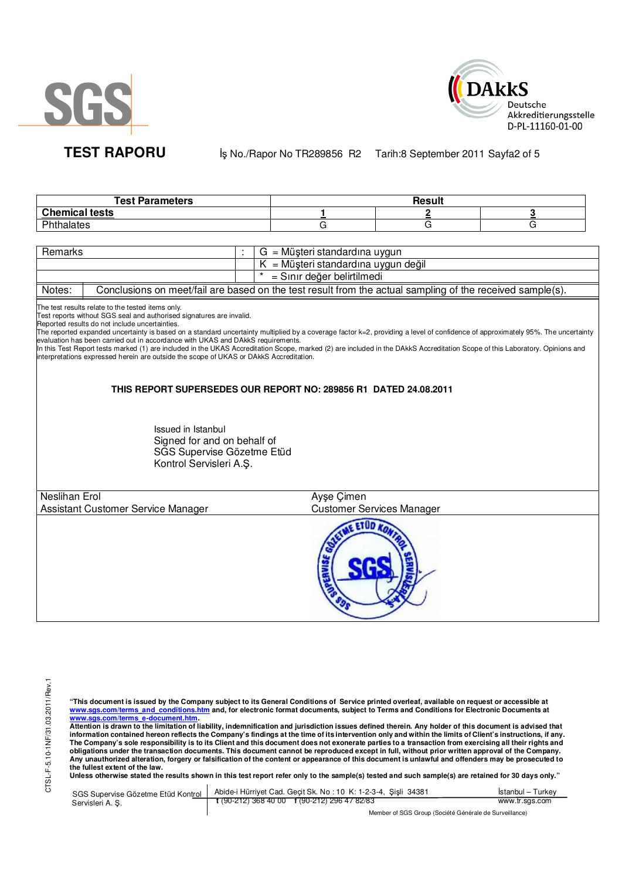



**TEST RAPORU** iş No./Rapor No TR289856 R2 Tarih:8 September 2011 Sayfa2 of 5

| <b>Test Parameters</b><br>Result |  |  |  |
|----------------------------------|--|--|--|
| <b>Chemical tests</b>            |  |  |  |
| DL-H<br>naiales                  |  |  |  |

| Remarks |  | G = Müşteri standardına uygun                                                                             |
|---------|--|-----------------------------------------------------------------------------------------------------------|
|         |  | - Müşteri standardına uygun değil                                                                         |
|         |  | = Sınır değer belirtilmedi                                                                                |
| Notes:  |  | Conclusions on meet/fail are based on the test result from the actual sampling of the received sample(s). |

The test results relate to the tested items only.

Test reports without SGS seal and authorised signatures are invalid.

Reported results do not include uncertainties.

The reported expanded uncertainty is based on a standard uncertainty multiplied by a coverage factor k=2, providing a level of confidence of approximately 95%. The uncertainty evaluation has been carried out in accordance with UKAS and DAkkS requirements.

In this Test Report tests marked (1) are included in the UKAS Accreditation Scope, marked (2) are included in the DAkkS Accreditation Scope of this Laboratory. Opinions and interpretations expressed herein are outside the scope of UKAS or DAkkS Accreditation.

# **THIS REPORT SUPERSEDES OUR REPORT NO: 289856 R1 DATED 24.08.2011**

Issued in Istanbul Signed for and on behalf of SGS Supervise Gözetme Etüd Kontrol Servisleri A.Ş.

Neslihan Erol Assistant Customer Service Manager Ayşe Çimen Customer Services Manager



 $\overline{a}$ 

**"This document is issued by the Company subject to its General Conditions of Service printed overleaf, available on request or accessible at www.sgs.com/terms\_and\_conditions.htm and, for electronic format documents, subject to Terms and Conditions for Electronic Documents at** 

<mark>www.sgs.com/terms\_e-document.htm.</mark><br>Attention is drawn to the limitation of liability, indemnification and jurisdiction issues defined therein. Any holder of this document is advised that information contained hereon reflects the Company's findings at the time of its intervention only and within the limits of Client's instructions, if any.<br>The Company's sole responsibility is to its Client and this document **obligations under the transaction documents. This document cannot be reproduced except in full, without prior written approval of the Company. Any unauthorized alteration, forgery or falsification of the content or appearance of this document is unlawful and offenders may be prosecuted to the fullest extent of the law.** 

**Unless otherwise stated the results shown in this test report refer only to the sample(s) tested and such sample(s) are retained for 30 days only."** 

| SGS Supervise Gözetme Etüd Kontrol | Abide-i Hürriyet Cad. Gecit Sk. No: 10 K: 1-2-3-4, Sisli 34381 | Istanbul - Turkev |  |  |
|------------------------------------|----------------------------------------------------------------|-------------------|--|--|
| Servisleri A. Ş.                   | $\frac{1}{2}$ (90-212) 368 40 00 f (90-212) 296 47 82/83       | www.tr.sgs.com    |  |  |
|                                    | Member of SGS Group (Société Générale de Surveillance)         |                   |  |  |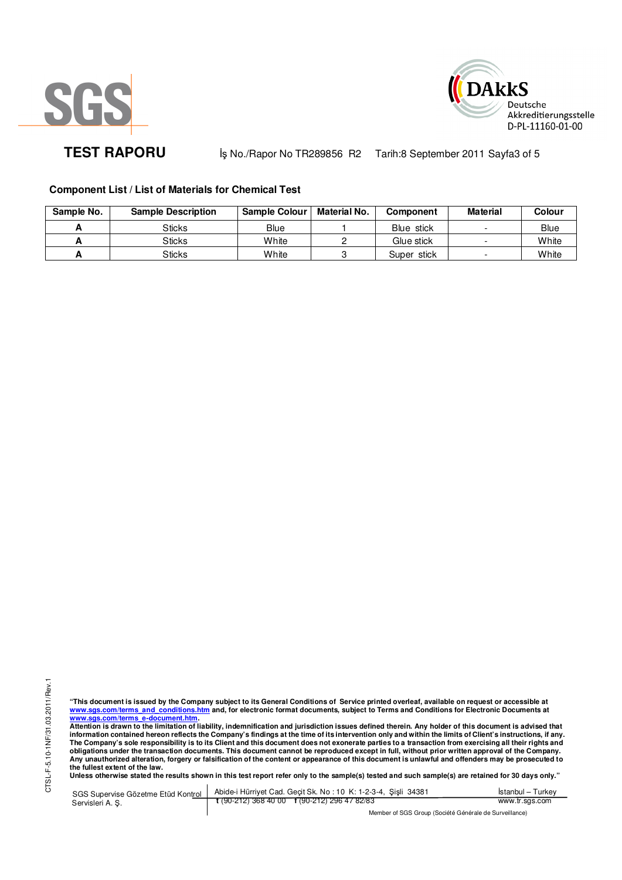



**TEST RAPORU** iş No./Rapor No TR289856 R2 Tarih:8 September 2011 Sayfa3 of 5

# **Component List / List of Materials for Chemical Test**

| Sample No. | <b>Sample Description</b> | <b>Sample Colour</b> | <b>Material No.</b> | <b>Component</b> | <b>Material</b> | Colour      |
|------------|---------------------------|----------------------|---------------------|------------------|-----------------|-------------|
|            | Sticks                    | Blue                 |                     | Blue stick       |                 | <b>Blue</b> |
|            | Sticks                    | White                |                     | Glue stick       |                 | White       |
|            | Sticks                    | White                |                     | Super stick      |                 | White       |

"This document is issued by the Company subject to its General Conditions of Service printed overleaf, available on request or accessible at<br>www.sgs.com/terms\_and\_conditions.htm\_and, for electronic format documents, subjec <mark>www.sgs.com/terms\_e-document.htm.</mark><br>Attention is drawn to the limitation of liability, indemnification and jurisdiction issues defined therein. Any holder of this document is advised that

information contained hereon reflects the Company's findings at the time of its intervention only and within the limits of Client's instructions, if any.<br>The Company's sole responsibility is to its Client and this document **obligations under the transaction documents. This document cannot be reproduced except in full, without prior written approval of the Company. Any unauthorized alteration, forgery or falsification of the content or appearance of this document is unlawful and offenders may be prosecuted to the fullest extent of the law.** 

**Unless otherwise stated the results shown in this test report refer only to the sample(s) tested and such sample(s) are retained for 30 days only."** 

SGS Supervise Gözetme Etüd Kontrol Servisleri A. Ş. Abide-i Hürriyet Cad. Geçit Sk. No : 10 K: 1-2-3-4, Şişli 34381 **t** (90-212) 368 40 00 **f** (90-212) 296 47 82/83 İstanbul – Turkey www.tr.sgs.com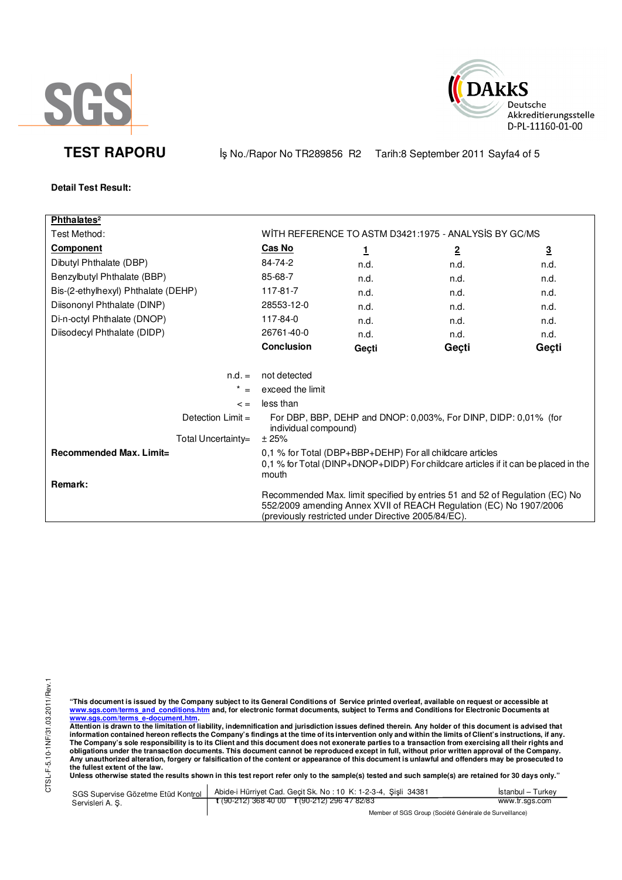



**TEST RAPORU** iş No./Rapor No TR289856 R2 Tarih:8 September 2011 Sayfa4 of 5

# **Detail Test Result:**

| Phthalates <sup>2</sup>                                                                                        |                                                                                                                                                                                                          |       |                |                |
|----------------------------------------------------------------------------------------------------------------|----------------------------------------------------------------------------------------------------------------------------------------------------------------------------------------------------------|-------|----------------|----------------|
| Test Method:                                                                                                   | WITH REFERENCE TO ASTM D3421:1975 - ANALYSIS BY GC/MS                                                                                                                                                    |       |                |                |
| <b>Component</b>                                                                                               | Cas No                                                                                                                                                                                                   | 1     | $\overline{2}$ | $\overline{3}$ |
| Dibutyl Phthalate (DBP)                                                                                        | 84-74-2                                                                                                                                                                                                  | n.d.  | n.d.           | n.d.           |
| Benzylbutyl Phthalate (BBP)                                                                                    | 85-68-7                                                                                                                                                                                                  | n.d.  | n.d.           | n.d.           |
| Bis-(2-ethylhexyl) Phthalate (DEHP)                                                                            | 117-81-7                                                                                                                                                                                                 | n.d.  | n.d.           | n.d.           |
| Diisononyl Phthalate (DINP)                                                                                    | 28553-12-0                                                                                                                                                                                               | n.d.  | n.d.           | n.d.           |
| Di-n-octyl Phthalate (DNOP)                                                                                    | 117-84-0                                                                                                                                                                                                 | n.d.  | n.d.           | n.d.           |
| Diisodecyl Phthalate (DIDP)                                                                                    | 26761-40-0                                                                                                                                                                                               | n.d.  | n.d.           | n.d.           |
|                                                                                                                | <b>Conclusion</b>                                                                                                                                                                                        | Geçti | Geçti          | Geçti          |
|                                                                                                                |                                                                                                                                                                                                          |       |                |                |
| $n.d. =$                                                                                                       | not detected                                                                                                                                                                                             |       |                |                |
| $=$                                                                                                            | exceed the limit                                                                                                                                                                                         |       |                |                |
| $\leq$ =                                                                                                       | less than                                                                                                                                                                                                |       |                |                |
| Detection $Limit =$<br>For DBP, BBP, DEHP and DNOP: 0,003%, For DINP, DIDP: 0,01% (for<br>individual compound) |                                                                                                                                                                                                          |       |                |                |
| Total Uncertainty=                                                                                             | ± 25%                                                                                                                                                                                                    |       |                |                |
| Recommended Max. Limit=<br>Remark:                                                                             | 0,1 % for Total (DBP+BBP+DEHP) For all childcare articles<br>0,1 % for Total (DINP+DNOP+DIDP) For childcare articles if it can be placed in the<br>mouth                                                 |       |                |                |
|                                                                                                                | Recommended Max. limit specified by entries 51 and 52 of Regulation (EC) No<br>552/2009 amending Annex XVII of REACH Regulation (EC) No 1907/2006<br>(previously restricted under Directive 2005/84/EC). |       |                |                |

"This document is issued by the Company subject to its General Conditions of Service printed overleaf, available on request or accessible at<br>www.sgs.com/terms\_and\_conditions.htm\_and, for electronic format documents, subjec <mark>www.sgs.com/terms\_e-document.htm.</mark><br>Attention is drawn to the limitation of liability, indemnification and jurisdiction issues defined therein. Any holder of this document is advised that

information contained hereon reflects the Company's findings at the time of its intervention only and within the limits of Client's instructions, if any.<br>The Company's sole responsibility is to its Client and this document obligations under the transaction documents. This document cannot be reproduced except in full, without prior written approval of the Company.<br>Any unauthorized alteration, forgery or falsification of the content or appeara

**Unless otherwise stated the results shown in this test report refer only to the sample(s) tested and such sample(s) are retained for 30 days only."** 

|                 | SGS Supervise Gözetme Etüd Kontrol   Abide-i Hürriyet Cad. Geçit Sk. No: 10 K: 1-2-3-4, Şişli 34381 | Istanbul – Turkey |
|-----------------|-----------------------------------------------------------------------------------------------------|-------------------|
| Servisleri A.S. | $\frac{1}{2}$ (90-212) 368 40 00 f (90-212) 296 47 82/83                                            | www.tr.sgs.com    |
|                 | $11110000010111011010111$                                                                           |                   |